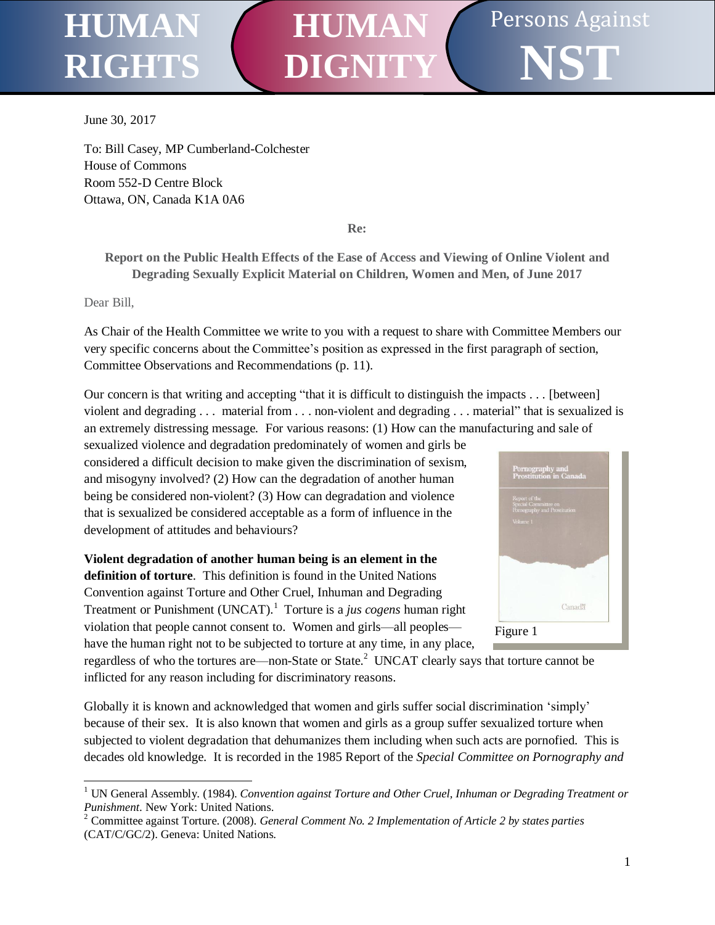## Persons Against **NST HUMAN RIGHT HUMAN DIGNITY**

June 30, 2017

To: Bill Casey, MP Cumberland-Colchester House of Commons Room 552-D Centre Block Ottawa, ON, Canada K1A 0A6

**Re:**

**Report on the Public Health Effects of the Ease of Access and Viewing of Online Violent and Degrading Sexually Explicit Material on Children, Women and Men, of June 2017**

Dear Bill,

l

As Chair of the Health Committee we write to you with a request to share with Committee Members our very specific concerns about the Committee's position as expressed in the first paragraph of section, Committee Observations and Recommendations (p. 11).

Our concern is that writing and accepting "that it is difficult to distinguish the impacts . . . [between] violent and degrading . . . material from . . . non-violent and degrading . . . material" that is sexualized is an extremely distressing message. For various reasons: (1) How can the manufacturing and sale of

sexualized violence and degradation predominately of women and girls be considered a difficult decision to make given the discrimination of sexism, and misogyny involved? (2) How can the degradation of another human being be considered non-violent? (3) How can degradation and violence that is sexualized be considered acceptable as a form of influence in the development of attitudes and behaviours?

**Violent degradation of another human being is an element in the definition of torture**. This definition is found in the United Nations Convention against Torture and Other Cruel, Inhuman and Degrading Treatment or Punishment (UNCAT).<sup>1</sup> Torture is a *jus cogens* human right violation that people cannot consent to. Women and girls—all peoples have the human right not to be subjected to torture at any time, in any place,



regardless of who the tortures are—non-State or State. $^2$  UNCAT clearly says that torture cannot be inflicted for any reason including for discriminatory reasons.

Globally it is known and acknowledged that women and girls suffer social discrimination 'simply' because of their sex. It is also known that women and girls as a group suffer sexualized torture when subjected to violent degradation that dehumanizes them including when such acts are pornofied. This is decades old knowledge. It is recorded in the 1985 Report of the *Special Committee on Pornography and* 

<sup>1</sup> UN General Assembly. (1984). *Convention against Torture and Other Cruel, Inhuman or Degrading Treatment or Punishment*. New York: United Nations.

<sup>2</sup> Committee against Torture. (2008). *General Comment No. 2 Implementation of Article 2 by states parties* (CAT/C/GC/2). Geneva: United Nations.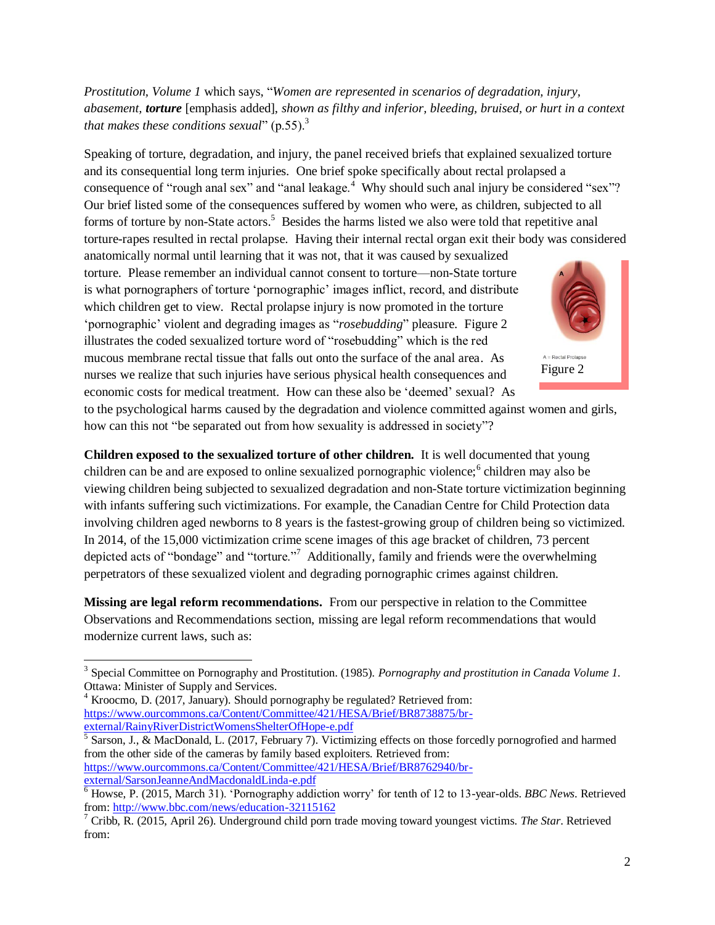*Prostitution, Volume 1* which says, "*Women are represented in scenarios of degradation, injury, abasement, torture* [emphasis added], *shown as filthy and inferior, bleeding, bruised, or hurt in a context that makes these conditions sexual*" (p.55).<sup>3</sup>

Speaking of torture, degradation, and injury, the panel received briefs that explained sexualized torture and its consequential long term injuries. One brief spoke specifically about rectal prolapsed a consequence of "rough anal sex" and "anal leakage.<sup>4</sup> Why should such anal injury be considered "sex"? Our brief listed some of the consequences suffered by women who were, as children, subjected to all forms of torture by non-State actors.<sup>5</sup> Besides the harms listed we also were told that repetitive anal torture-rapes resulted in rectal prolapse. Having their internal rectal organ exit their body was considered

anatomically normal until learning that it was not, that it was caused by sexualized torture. Please remember an individual cannot consent to torture—non-State torture is what pornographers of torture 'pornographic' images inflict, record, and distribute which children get to view. Rectal prolapse injury is now promoted in the torture 'pornographic' violent and degrading images as "*rosebudding*" pleasure. Figure 2 illustrates the coded sexualized torture word of "rosebudding" which is the red mucous membrane rectal tissue that falls out onto the surface of the anal area. As nurses we realize that such injuries have serious physical health consequences and economic costs for medical treatment. How can these also be 'deemed' sexual? As



Figure 2

to the psychological harms caused by the degradation and violence committed against women and girls, how can this not "be separated out from how sexuality is addressed in society"?

**Children exposed to the sexualized torture of other children.** It is well documented that young children can be and are exposed to online sexualized pornographic violence;<sup>6</sup> children may also be viewing children being subjected to sexualized degradation and non-State torture victimization beginning with infants suffering such victimizations. For example, the Canadian Centre for Child Protection data involving children aged newborns to 8 years is the fastest-growing group of children being so victimized. In 2014, of the 15,000 victimization crime scene images of this age bracket of children, 73 percent depicted acts of "bondage" and "torture."<sup>7</sup> Additionally, family and friends were the overwhelming perpetrators of these sexualized violent and degrading pornographic crimes against children.

**Missing are legal reform recommendations.** From our perspective in relation to the Committee Observations and Recommendations section, missing are legal reform recommendations that would modernize current laws, such as:

l

5 Sarson, J., & MacDonald, L. (2017, February 7). Victimizing effects on those forcedly pornogrofied and harmed from the other side of the cameras by family based exploiters. Retrieved from: [https://www.ourcommons.ca/Content/Committee/421/HESA/Brief/BR8762940/br](https://www.ourcommons.ca/Content/Committee/421/HESA/Brief/BR8762940/br-external/SarsonJeanneAndMacdonaldLinda-e.pdf)[external/SarsonJeanneAndMacdonaldLinda-e.pdf](https://www.ourcommons.ca/Content/Committee/421/HESA/Brief/BR8762940/br-external/SarsonJeanneAndMacdonaldLinda-e.pdf)

<sup>3</sup> Special Committee on Pornography and Prostitution. (1985). *Pornography and prostitution in Canada Volume 1*. Ottawa: Minister of Supply and Services.

<sup>4</sup> Kroocmo, D. (2017, January). Should pornography be regulated? Retrieved from: [https://www.ourcommons.ca/Content/Committee/421/HESA/Brief/BR8738875/br](https://www.ourcommons.ca/Content/Committee/421/HESA/Brief/BR8738875/br-external/RainyRiverDistrictWomensShelterOfHope-e.pdf)[external/RainyRiverDistrictWomensShelterOfHope-e.pdf](https://www.ourcommons.ca/Content/Committee/421/HESA/Brief/BR8738875/br-external/RainyRiverDistrictWomensShelterOfHope-e.pdf)

<sup>6</sup> Howse, P. (2015, March 31). 'Pornography addiction worry' for tenth of 12 to 13-year-olds. *BBC News*. Retrieved from[: http://www.bbc.com/news/education-32115162](http://www.bbc.com/news/education-32115162)

<sup>7</sup> Cribb, R. (2015, April 26). Underground child porn trade moving toward youngest victims. *The Star*. Retrieved from: